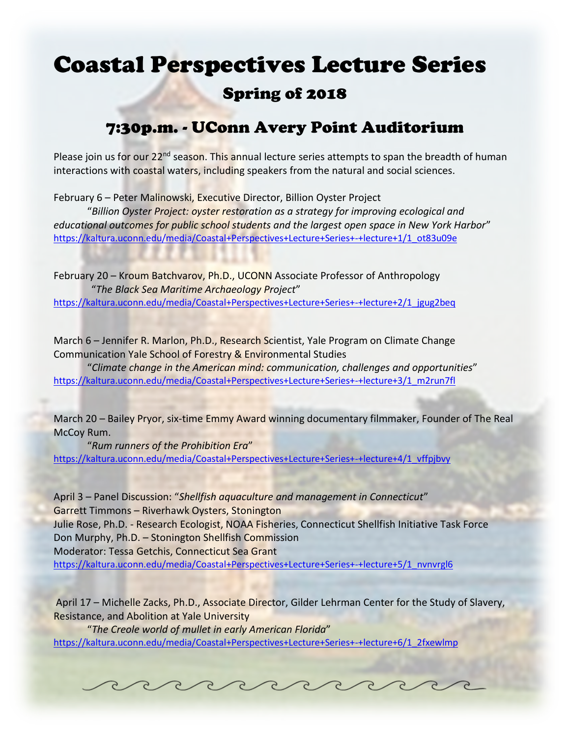## Coastal Perspectives Lecture Series

## Spring of 2018

## 7:30p.m. - UConn Avery Point Auditorium

Please join us for our 22<sup>nd</sup> season. This annual lecture series attempts to span the breadth of human interactions with coastal waters, including speakers from the natural and social sciences.

February 6 – Peter Malinowski, Executive Director, Billion Oyster Project

"*Billion Oyster Project: oyster restoration as a strategy for improving ecological and educational outcomes for public school students and the largest open space in New York Harbor*" [https://kaltura.uconn.edu/media/Coastal+Perspectives+Lecture+Series+-+lecture+1/1\\_ot83u09e](https://kaltura.uconn.edu/media/Coastal+Perspectives+Lecture+Series+-+lecture+1/1_ot83u09e)

February 20 – Kroum Batchvarov, Ph.D., UCONN Associate Professor of Anthropology "*The Black Sea Maritime Archaeology Project*" [https://kaltura.uconn.edu/media/Coastal+Perspectives+Lecture+Series+-+lecture+2/1\\_jgug2beq](https://kaltura.uconn.edu/media/Coastal+Perspectives+Lecture+Series+-+lecture+2/1_jgug2beq)

March 6 – Jennifer R. Marlon, Ph.D., Research Scientist, Yale Program on Climate Change Communication Yale School of Forestry & Environmental Studies

"*Climate change in the American mind: communication, challenges and opportunities*" [https://kaltura.uconn.edu/media/Coastal+Perspectives+Lecture+Series+-+lecture+3/1\\_m2run7fl](https://kaltura.uconn.edu/media/Coastal+Perspectives+Lecture+Series+-+lecture+3/1_m2run7fl)

March 20 - Bailey Pryor, six-time Emmy Award winning documentary filmmaker, Founder of The Real McCoy Rum.

"*Rum runners of the Prohibition Era*" [https://kaltura.uconn.edu/media/Coastal+Perspectives+Lecture+Series+-+lecture+4/1\\_vffpjbvy](https://kaltura.uconn.edu/media/Coastal+Perspectives+Lecture+Series+-+lecture+4/1_vffpjbvy)

April 3 – Panel Discussion: "*Shellfish aquaculture and management in Connecticut*" Garrett Timmons – Riverhawk Oysters, Stonington Julie Rose, Ph.D. - Research Ecologist, NOAA Fisheries, Connecticut Shellfish Initiative Task Force Don Murphy, Ph.D. – Stonington Shellfish Commission Moderator: Tessa Getchis, Connecticut Sea Grant [https://kaltura.uconn.edu/media/Coastal+Perspectives+Lecture+Series+-+lecture+5/1\\_nvnvrgl6](https://kaltura.uconn.edu/media/Coastal+Perspectives+Lecture+Series+-+lecture+5/1_nvnvrgl6)

April 17 – Michelle Zacks, Ph.D., Associate Director, Gilder Lehrman Center for the Study of Slavery, Resistance, and Abolition at Yale University

"*The Creole world of mullet in early American Florida*" [https://kaltura.uconn.edu/media/Coastal+Perspectives+Lecture+Series+-+lecture+6/1\\_2fxewlmp](https://kaltura.uconn.edu/media/Coastal+Perspectives+Lecture+Series+-+lecture+6/1_2fxewlmp)